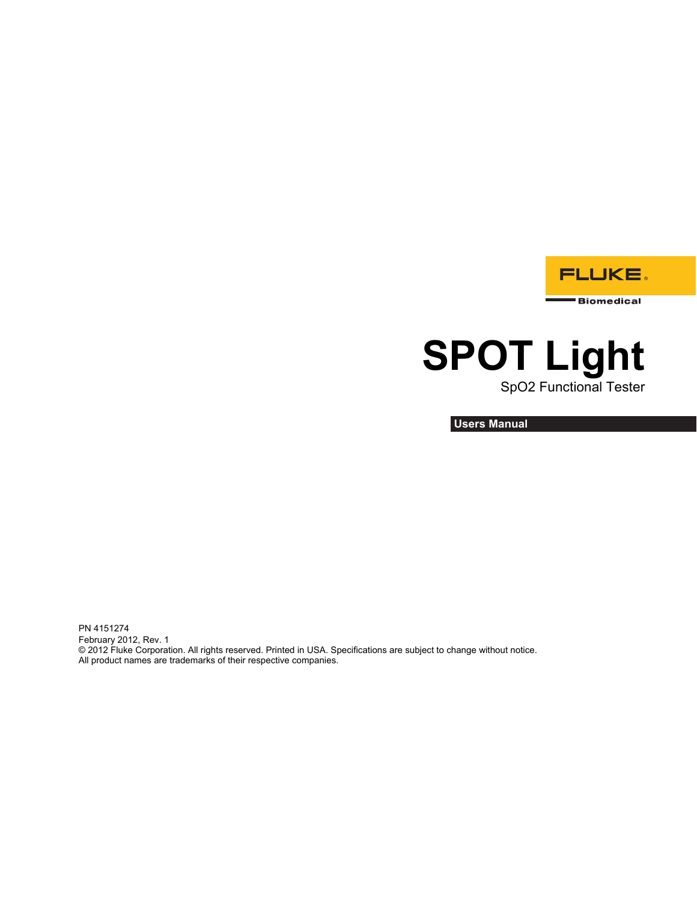

**Biomedical** 

# **SPOT Light**  SpO2 Functional Tester

**Users Manual**

PN 4151274 February 2012, Rev. 1 © 2012 Fluke Corporation. All rights reserved. Printed in USA. Specifications are subject to change without notice. All product names are trademarks of their respective companies.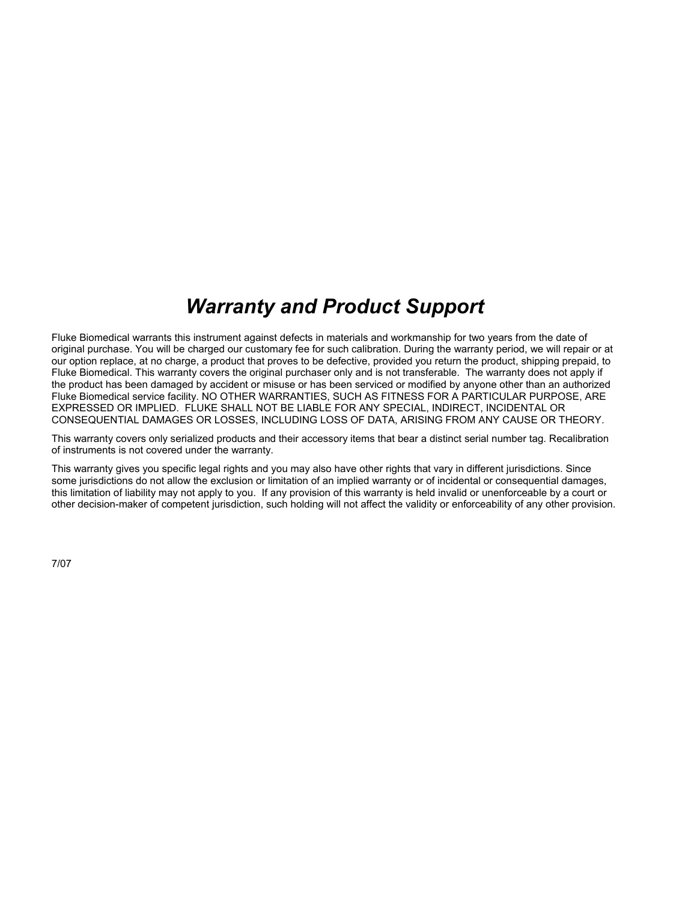# *Warranty and Product Support*

Fluke Biomedical warrants this instrument against defects in materials and workmanship for two years from the date of original purchase. You will be charged our customary fee for such calibration. During the warranty period, we will repair or at our option replace, at no charge, a product that proves to be defective, provided you return the product, shipping prepaid, to Fluke Biomedical. This warranty covers the original purchaser only and is not transferable. The warranty does not apply if the product has been damaged by accident or misuse or has been serviced or modified by anyone other than an authorized Fluke Biomedical service facility. NO OTHER WARRANTIES, SUCH AS FITNESS FOR A PARTICULAR PURPOSE, ARE EXPRESSED OR IMPLIED. FLUKE SHALL NOT BE LIABLE FOR ANY SPECIAL, INDIRECT, INCIDENTAL OR CONSEQUENTIAL DAMAGES OR LOSSES, INCLUDING LOSS OF DATA, ARISING FROM ANY CAUSE OR THEORY.

This warranty covers only serialized products and their accessory items that bear a distinct serial number tag. Recalibration of instruments is not covered under the warranty.

This warranty gives you specific legal rights and you may also have other rights that vary in different jurisdictions. Since some jurisdictions do not allow the exclusion or limitation of an implied warranty or of incidental or consequential damages, this limitation of liability may not apply to you. If any provision of this warranty is held invalid or unenforceable by a court or other decision-maker of competent jurisdiction, such holding will not affect the validity or enforceability of any other provision.

7/07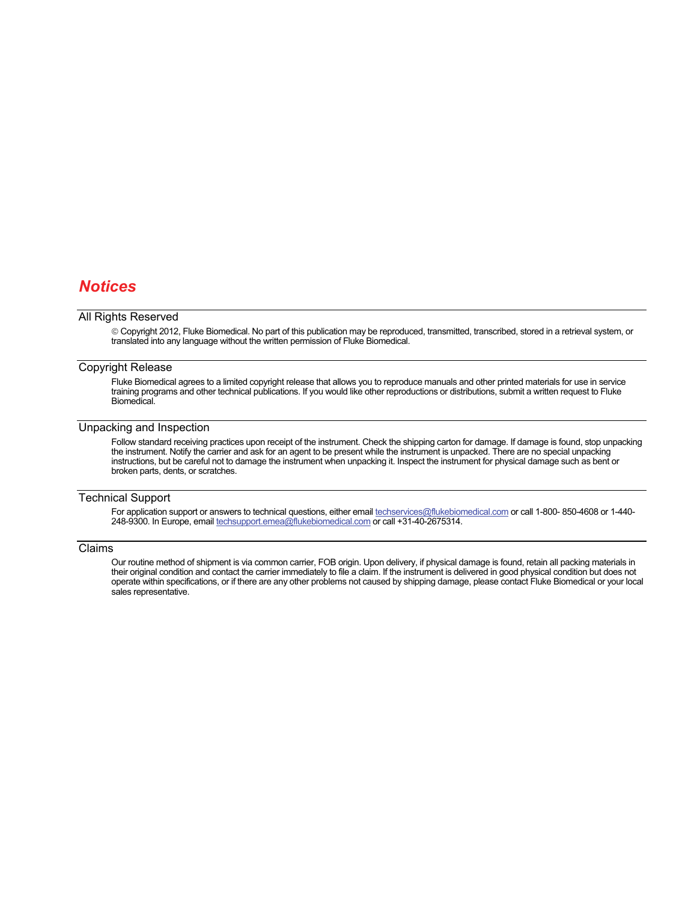# *Notices*

#### All Rights Reserved

 Copyright 2012, Fluke Biomedical. No part of this publication may be reproduced, transmitted, transcribed, stored in a retrieval system, or translated into any language without the written permission of Fluke Biomedical.

### Copyright Release

Fluke Biomedical agrees to a limited copyright release that allows you to reproduce manuals and other printed materials for use in service training programs and other technical publications. If you would like other reproductions or distributions, submit a written request to Fluke **Biomedical** 

#### Unpacking and Inspection

Follow standard receiving practices upon receipt of the instrument. Check the shipping carton for damage. If damage is found, stop unpacking the instrument. Notify the carrier and ask for an agent to be present while the instrument is unpacked. There are no special unpacking instructions, but be careful not to damage the instrument when unpacking it. Inspect the instrument for physical damage such as bent or broken parts, dents, or scratches.

#### Technical Support

For application support or answers to technical questions, either email techservices@flukebiomedical.com or call 1-800- 850-4608 or 1-440- 248-9300. In Europe, email techsupport.emea@flukebiomedical.com or call +31-40-2675314.

#### Claims

Our routine method of shipment is via common carrier, FOB origin. Upon delivery, if physical damage is found, retain all packing materials in their original condition and contact the carrier immediately to file a claim. If the instrument is delivered in good physical condition but does not operate within specifications, or if there are any other problems not caused by shipping damage, please contact Fluke Biomedical or your local sales representative.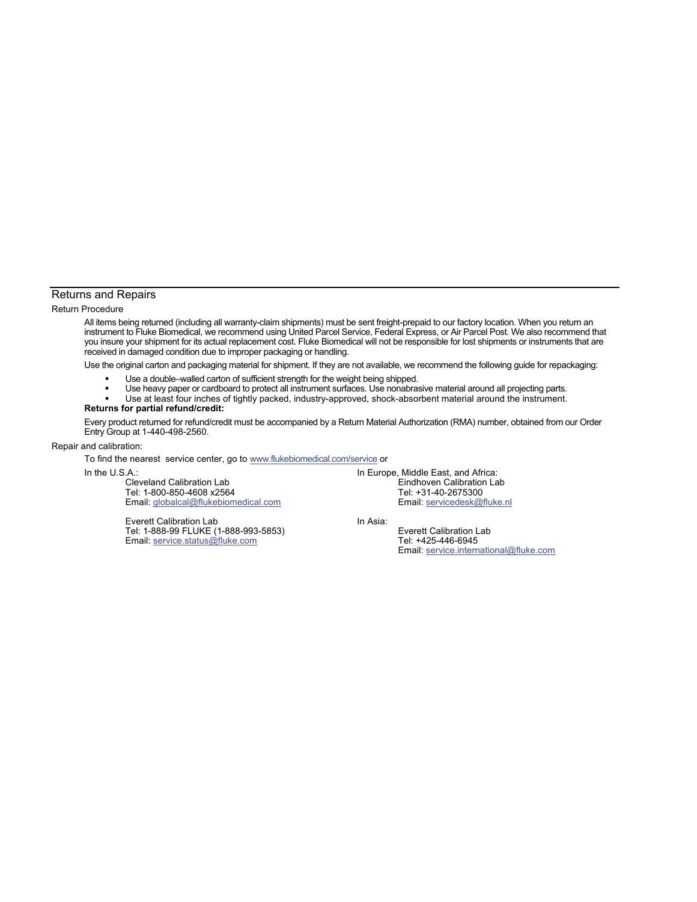#### Returns and Repairs

#### Return Procedure

All items being returned (including all warranty-claim shipments) must be sent freight-prepaid to our factory location. When you return an instrument to Fluke Biomedical, we recommend using United Parcel Service, Federal Express, or Air Parcel Post. We also recommend that you insure your shipment for its actual replacement cost. Fluke Biomedical will not be responsible for lost shipments or instruments that are received in damaged condition due to improper packaging or handling.

Use the original carton and packaging material for shipment. If they are not available, we recommend the following guide for repackaging:

- Use a double–walled carton of sufficient strength for the weight being shipped.<br>■ Use heavy paner or cardboard to protect all instrument surfaces Use nonabra
- Use heavy paper or cardboard to protect all instrument surfaces. Use nonabrasive material around all projecting parts.<br>Use at least four inches of tightly packed, industry approved, shock-absorbent material around the inst
- Use at least four inches of tightly packed, industry-approved, shock-absorbent material around the instrument.

#### **Returns for partial refund/credit:**

Every product returned for refund/credit must be accompanied by a Return Material Authorization (RMA) number, obtained from our Order Entry Group at 1-440-498-2560.

Repair and calibration:

To find the nearest service center, go to www.flukebiomedical.com/service or

In the  $\overline{U}$  SA $\cdot$ 

 Cleveland Calibration Lab Tel: 1-800-850-4608 x2564 Email: globalcal@flukebiomedical.com

 Everett Calibration Lab Tel: 1-888-99 FLUKE (1-888-993-5853) Email: service.status@fluke.com

In Europe, Middle East, and Africa: Eindhoven Calibration Lab Tel: +31-40-2675300 Email: servicedesk@fluke.nl

In Asia:

 Everett Calibration Lab Tel: +425-446-6945 Email: service.international@fluke.com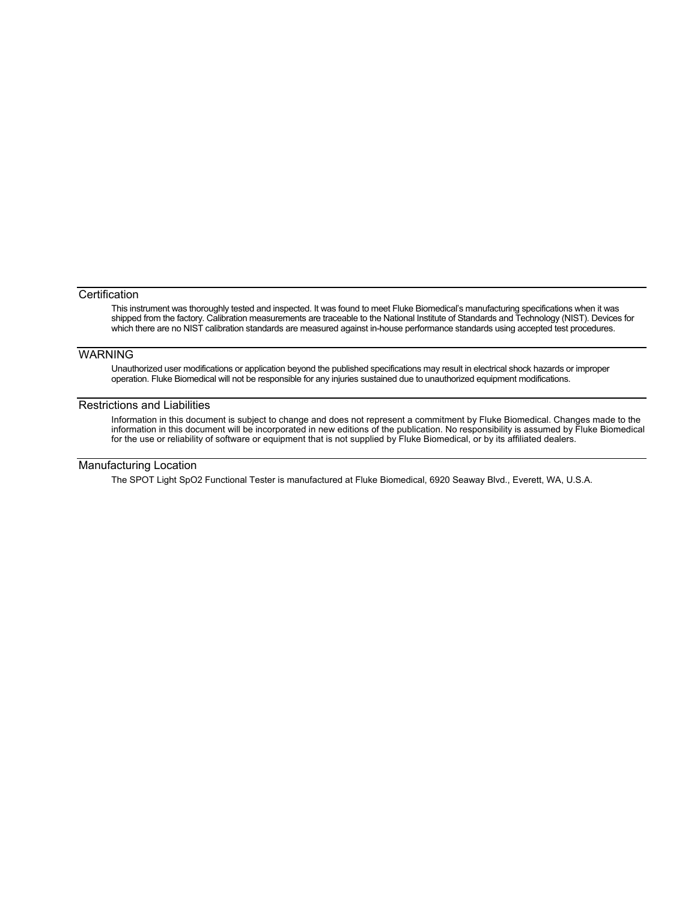#### **Certification**

This instrument was thoroughly tested and inspected. It was found to meet Fluke Biomedical's manufacturing specifications when it was shipped from the factory. Calibration measurements are traceable to the National Institute of Standards and Technology (NIST). Devices for which there are no NIST calibration standards are measured against in-house performance standards using accepted test procedures.

#### **WARNING**

Unauthorized user modifications or application beyond the published specifications may result in electrical shock hazards or improper operation. Fluke Biomedical will not be responsible for any injuries sustained due to unauthorized equipment modifications.

#### Restrictions and Liabilities

Information in this document is subject to change and does not represent a commitment by Fluke Biomedical. Changes made to the information in this document will be incorporated in new editions of the publication. No responsibility is assumed by Fluke Biomedical for the use or reliability of software or equipment that is not supplied by Fluke Biomedical, or by its affiliated dealers.

#### Manufacturing Location

The SPOT Light SpO2 Functional Tester is manufactured at Fluke Biomedical, 6920 Seaway Blvd., Everett, WA, U.S.A.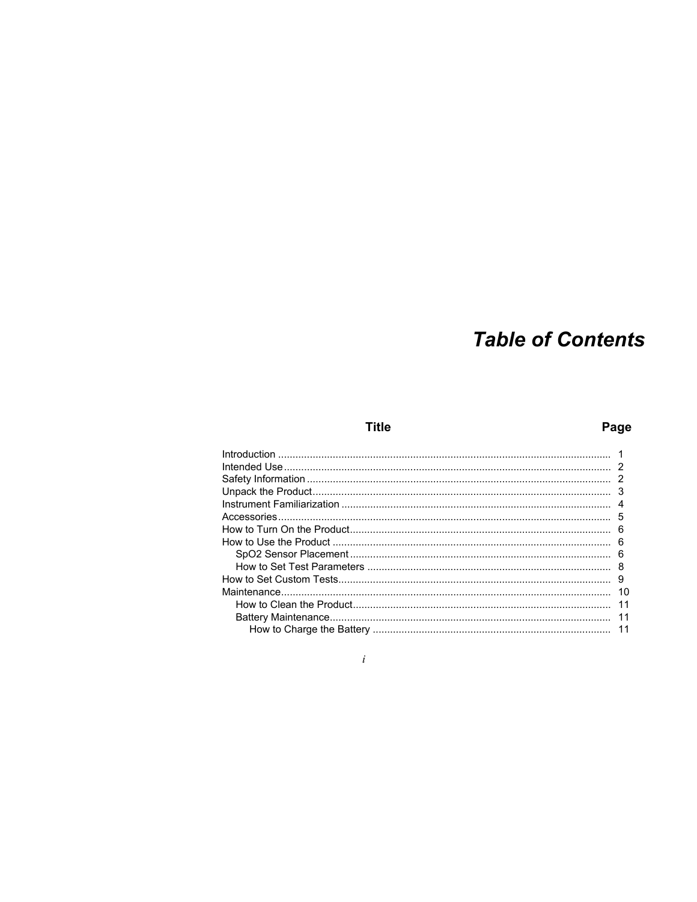# **Table of Contents**

# **Title**

## Page

| -11 |
|-----|
|     |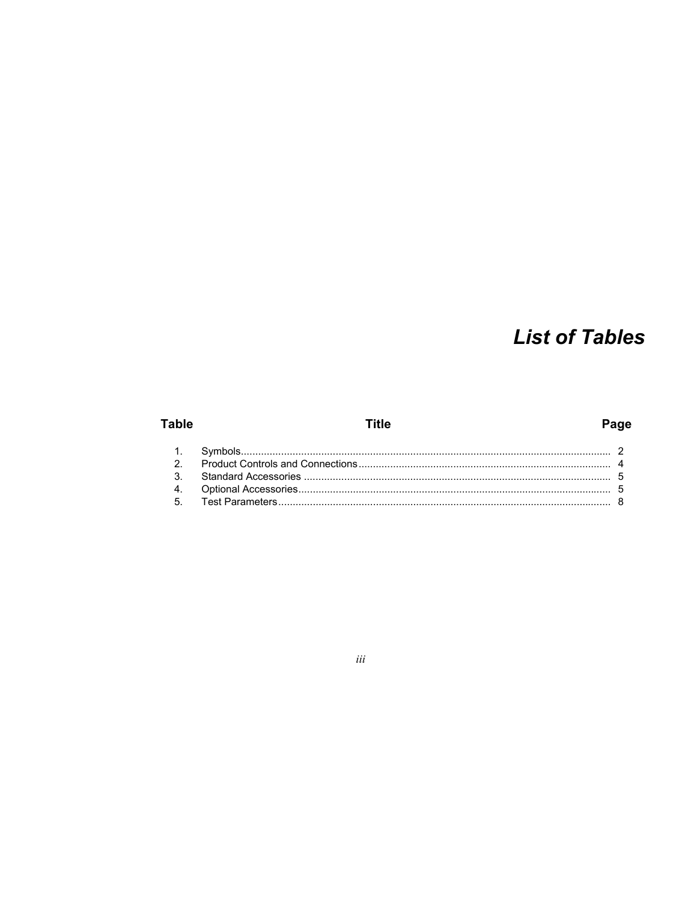# **List of Tables**

# **Table**

## **Title**

# Page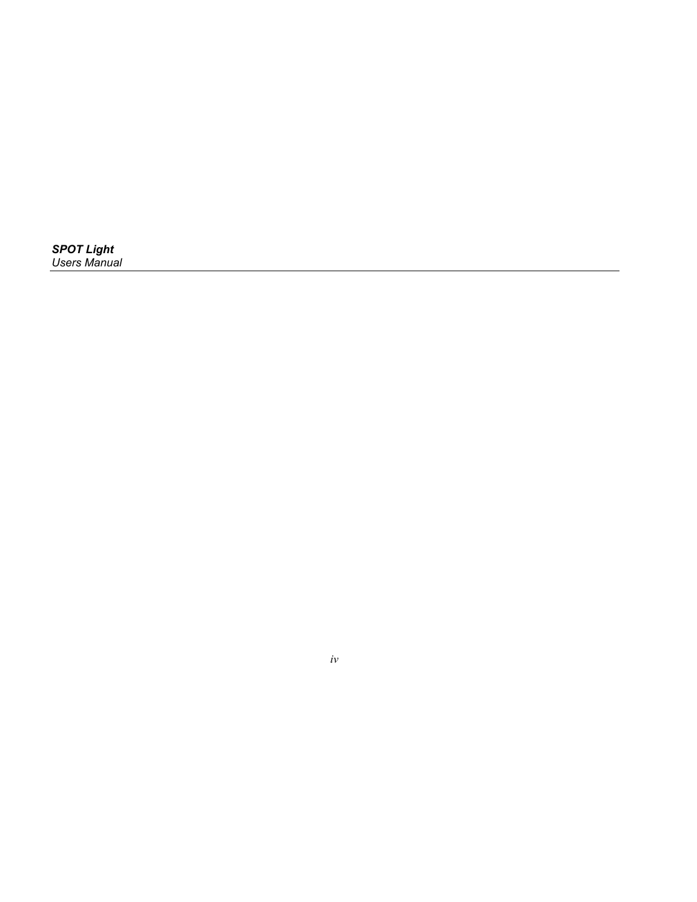| <b>SPOT Light</b>   |
|---------------------|
| <b>Users Manual</b> |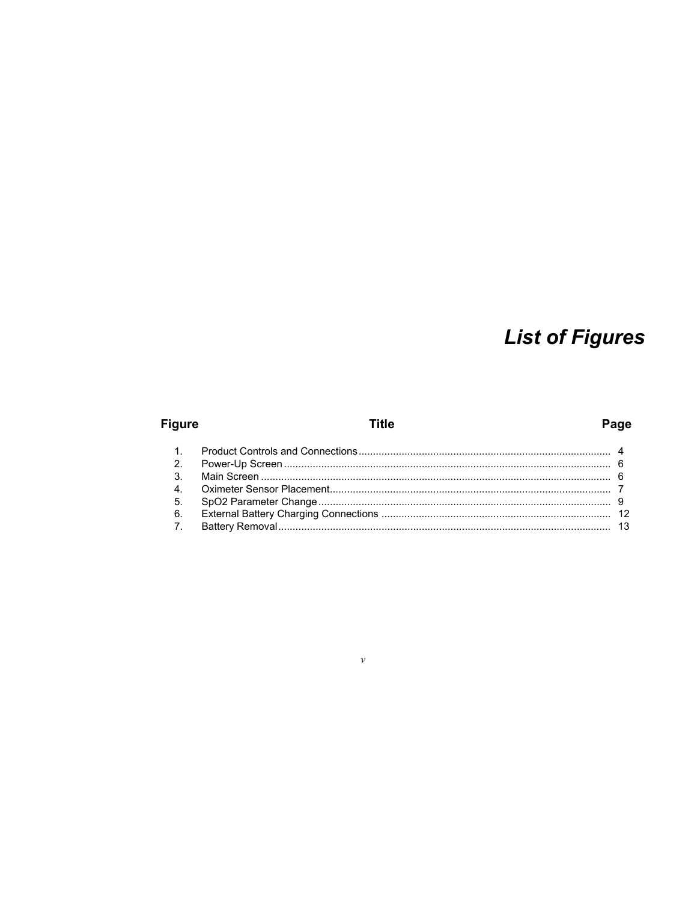# **List of Figures**

# **Figure**

# **Title**

## Page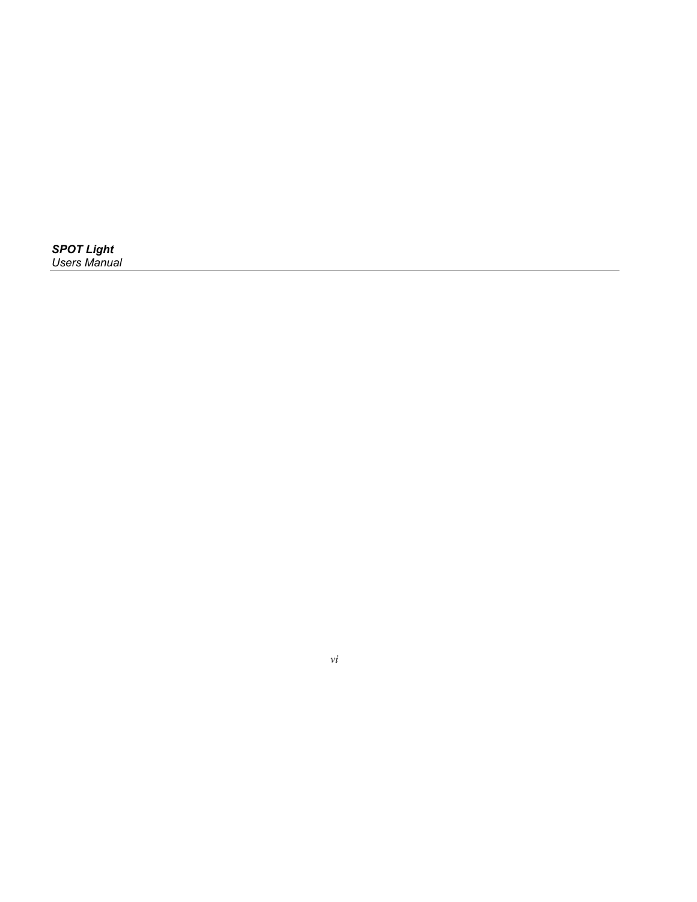| <b>SPOT Light</b>   |
|---------------------|
| <b>Users Manual</b> |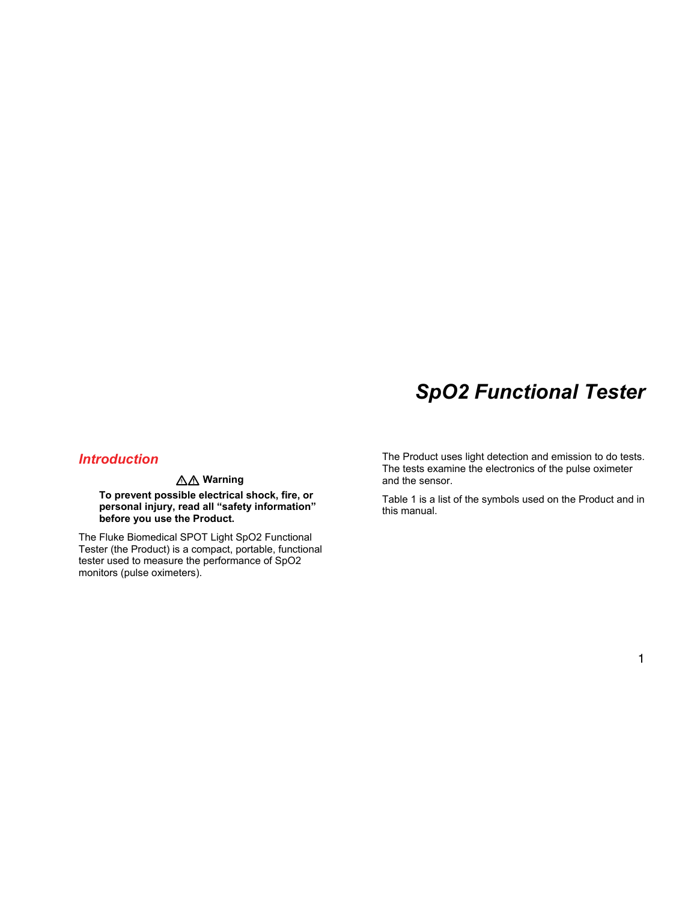# *SpO2 Functional Tester*

### *Introduction*

XW **Warning** 

**To prevent possible electrical shock, fire, or personal injury, read all "safety information" before you use the Product.** 

The Fluke Biomedical SPOT Light SpO2 Functional Tester (the Product) is a compact, portable, functional tester used to measure the performance of SpO2 monitors (pulse oximeters).

The Product uses light detection and emission to do tests. The tests examine the electronics of the pulse oximeter and the sensor.

Table 1 is a list of the symbols used on the Product and in this manual.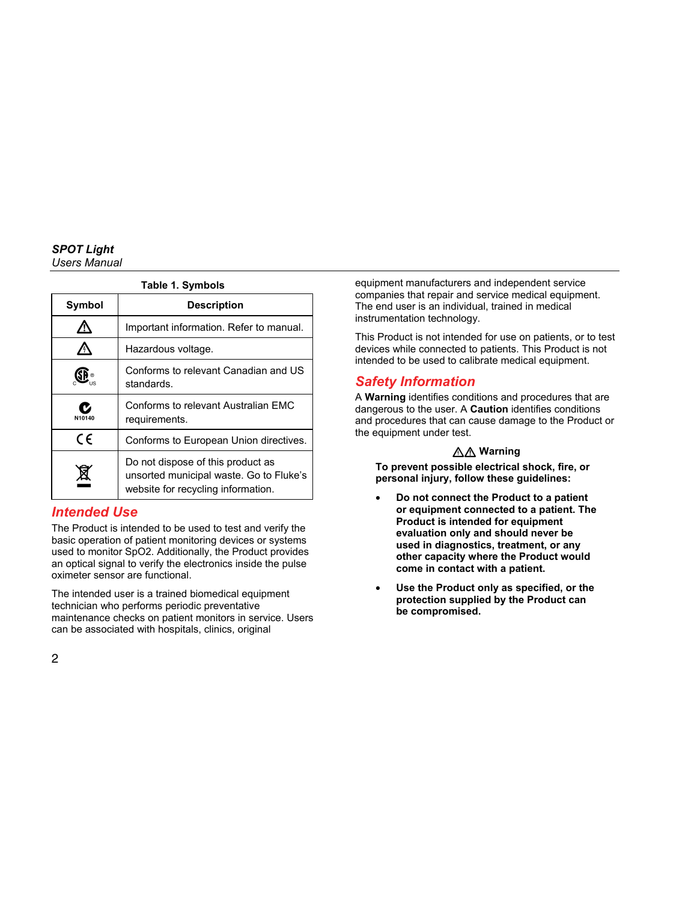#### *SPOT Light Users Manual*

#### **Table 1. Symbols**

| Symbol | <b>Description</b>                                                                                                 |  |
|--------|--------------------------------------------------------------------------------------------------------------------|--|
|        | Important information. Refer to manual.                                                                            |  |
|        | Hazardous voltage.                                                                                                 |  |
|        | Conforms to relevant Canadian and US<br>standards.                                                                 |  |
| N10140 | Conforms to relevant Australian EMC<br>requirements.                                                               |  |
| CE     | Conforms to European Union directives.                                                                             |  |
|        | Do not dispose of this product as<br>unsorted municipal waste. Go to Fluke's<br>website for recycling information. |  |

# *Intended Use*

The Product is intended to be used to test and verify the basic operation of patient monitoring devices or systems used to monitor SpO2. Additionally, the Product provides an optical signal to verify the electronics inside the pulse oximeter sensor are functional.

The intended user is a trained biomedical equipment technician who performs periodic preventative maintenance checks on patient monitors in service. Users can be associated with hospitals, clinics, original

equipment manufacturers and independent service companies that repair and service medical equipment. The end user is an individual, trained in medical instrumentation technology.

This Product is not intended for use on patients, or to test devices while connected to patients. This Product is not intended to be used to calibrate medical equipment.

# *Safety Information*

A **Warning** identifies conditions and procedures that are dangerous to the user. A **Caution** identifies conditions and procedures that can cause damage to the Product or the equipment under test.

# A **Marning**

**To prevent possible electrical shock, fire, or personal injury, follow these guidelines:** 

- **Do not connect the Product to a patient or equipment connected to a patient. The Product is intended for equipment evaluation only and should never be used in diagnostics, treatment, or any other capacity where the Product would come in contact with a patient.**
- **Use the Product only as specified, or the protection supplied by the Product can be compromised.**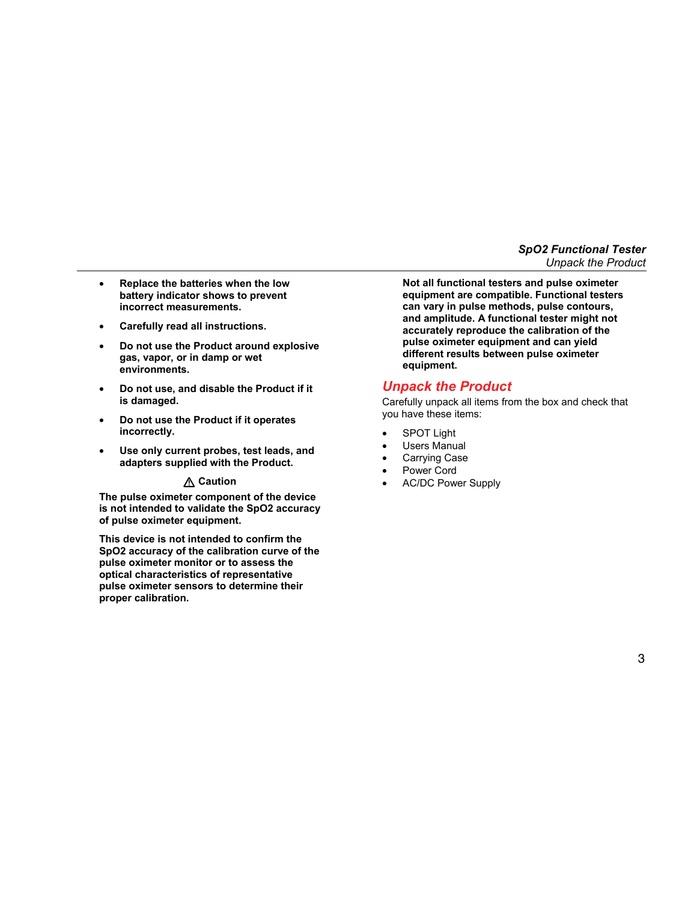- **Replace the batteries when the low battery indicator shows to prevent incorrect measurements.**
- **Carefully read all instructions.**
- **Do not use the Product around explosive gas, vapor, or in damp or wet environments.**
- **Do not use, and disable the Product if it is damaged.**
- **Do not use the Product if it operates incorrectly.**
- **Use only current probes, test leads, and adapters supplied with the Product.**

#### W **Caution**

**The pulse oximeter component of the device is not intended to validate the SpO2 accuracy of pulse oximeter equipment.** 

**This device is not intended to confirm the SpO2 accuracy of the calibration curve of the pulse oximeter monitor or to assess the optical characteristics of representative pulse oximeter sensors to determine their proper calibration.** 

**Not all functional testers and pulse oximeter equipment are compatible. Functional testers can vary in pulse methods, pulse contours, and amplitude. A functional tester might not accurately reproduce the calibration of the pulse oximeter equipment and can yield different results between pulse oximeter equipment.** 

# *Unpack the Product*

Carefully unpack all items from the box and check that you have these items:

- **SPOT Light**
- Users Manual
- Carrying Case
- Power Cord
- AC/DC Power Supply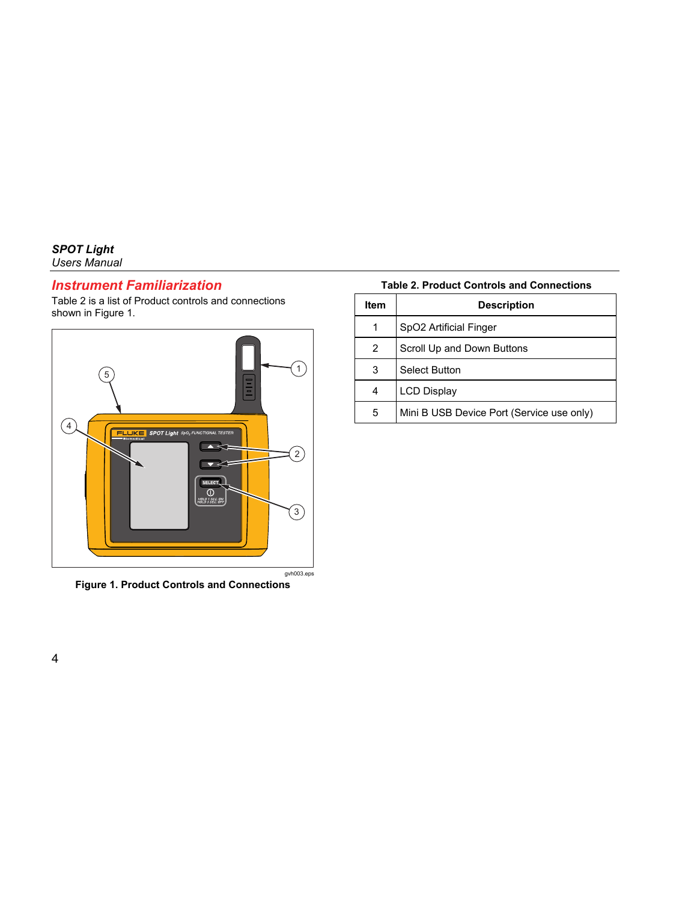# *Instrument Familiarization*

Table 2 is a list of Product controls and connections shown in Figure 1.



**Figure 1. Product Controls and Connections** 

#### **Table 2. Product Controls and Connections**

| <b>Item</b>    | <b>Description</b>                        |
|----------------|-------------------------------------------|
| 1              | SpO <sub>2</sub> Artificial Finger        |
| $\overline{2}$ | Scroll Up and Down Buttons                |
| 3              | <b>Select Button</b>                      |
| 4              | <b>LCD Display</b>                        |
| 5              | Mini B USB Device Port (Service use only) |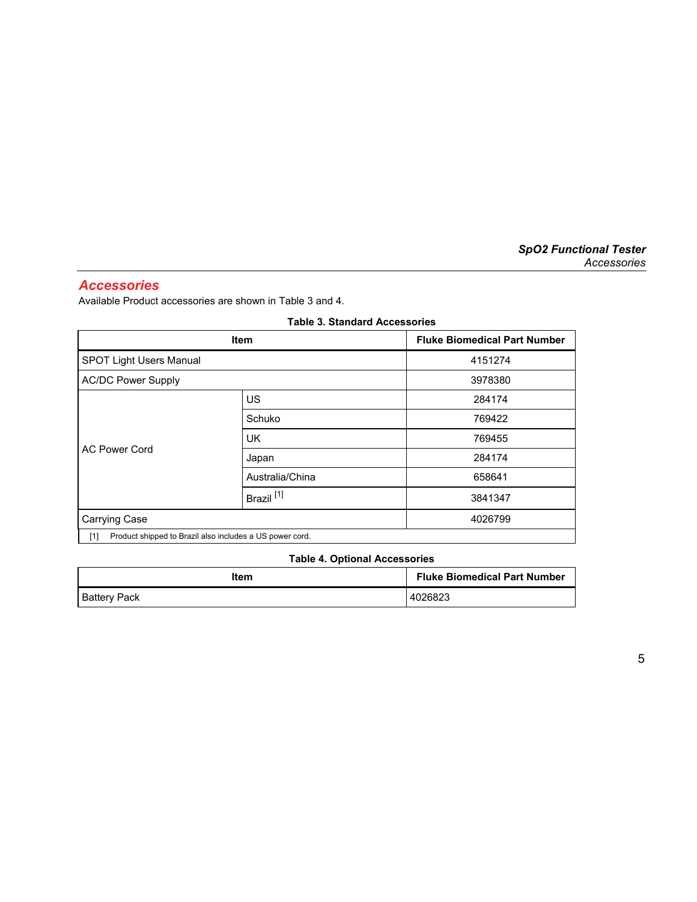# *Accessories*

Available Product accessories are shown in Table 3 and 4.

| <b>Table 3. Standard Accessories</b> |
|--------------------------------------|
|--------------------------------------|

| <b>Item</b>                                                       |                       | <b>Fluke Biomedical Part Number</b> |
|-------------------------------------------------------------------|-----------------------|-------------------------------------|
| <b>SPOT Light Users Manual</b>                                    |                       | 4151274                             |
| <b>AC/DC Power Supply</b>                                         |                       | 3978380                             |
|                                                                   | US                    | 284174                              |
|                                                                   | Schuko                | 769422                              |
|                                                                   | UK.                   | 769455                              |
| AC Power Cord                                                     | Japan                 | 284174                              |
|                                                                   | Australia/China       | 658641                              |
|                                                                   | Brazil <sup>[1]</sup> | 3841347                             |
| Carrying Case                                                     |                       | 4026799                             |
| Product shipped to Brazil also includes a US power cord.<br>$[1]$ |                       |                                     |

#### **Table 4. Optional Accessories**

| ltem         | <b>Fluke Biomedical Part Number</b> |
|--------------|-------------------------------------|
| Battery Pack | 4026823                             |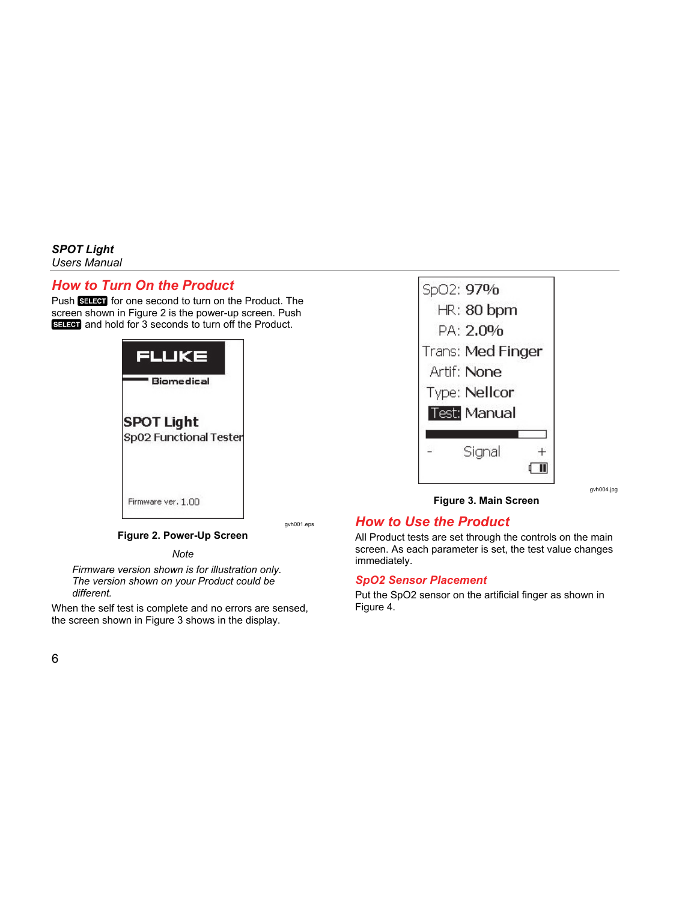# *How to Turn On the Product*

Push SELEOT for one second to turn on the Product. The screen shown in Figure 2 is the power-up screen. Push **SELEGT** and hold for 3 seconds to turn off the Product.



gvh001.eps

## **Figure 2. Power-Up Screen**

*Note* 

*Firmware version shown is for illustration only. The version shown on your Product could be different.* 

When the self test is complete and no errors are sensed. the screen shown in Figure 3 shows in the display.



gvh004.jpg



# *How to Use the Product*

All Product tests are set through the controls on the main screen. As each parameter is set, the test value changes immediately.

## *SpO2 Sensor Placement*

Put the SpO2 sensor on the artificial finger as shown in Figure 4.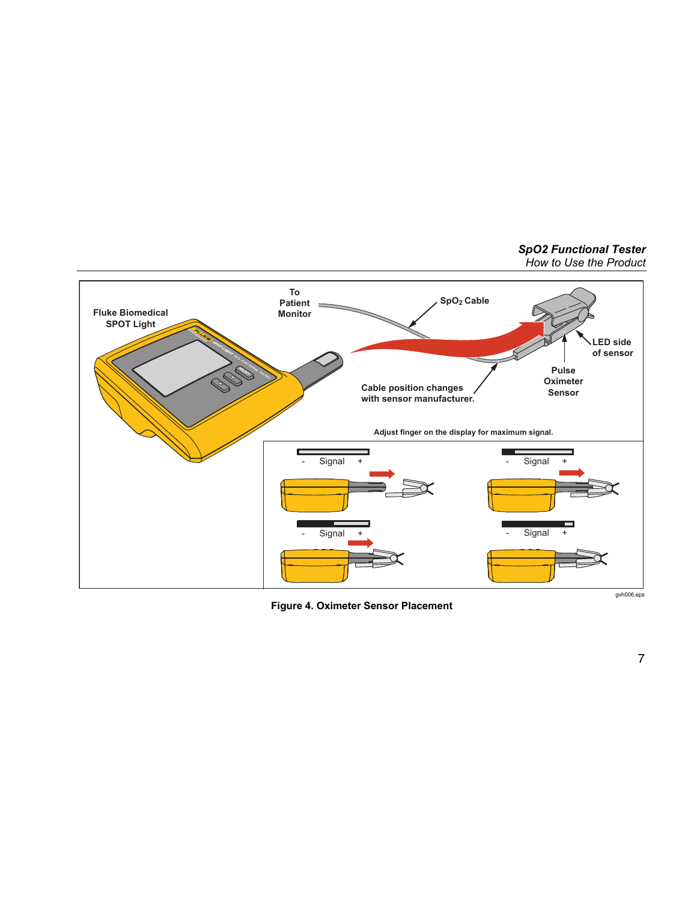#### *SpO2 Functional Tester*

*How to Use the Product* 



**Figure 4. Oximeter Sensor Placement**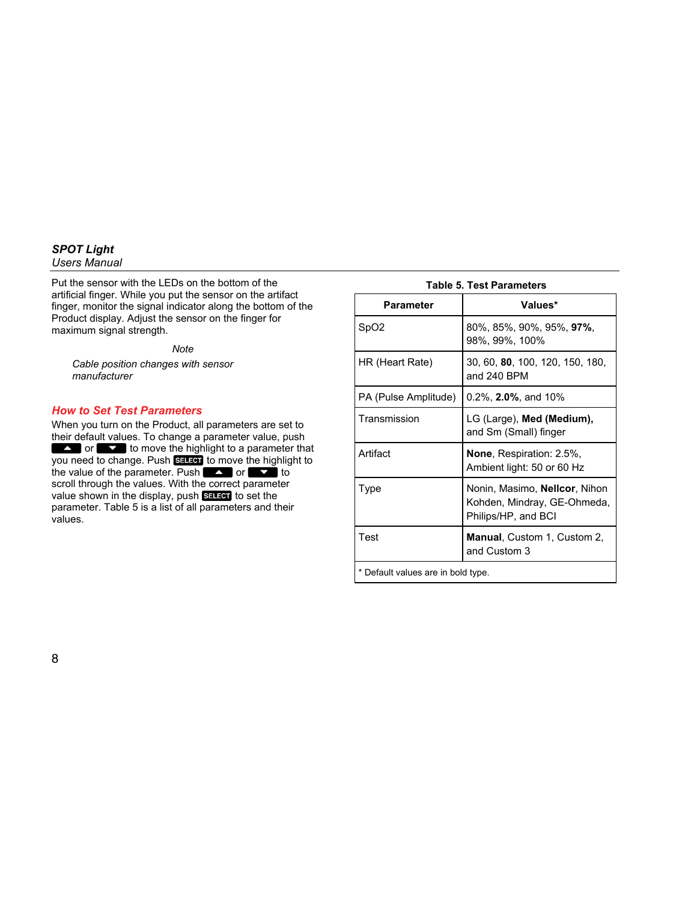### *SPOT Light Users Manual*

Put the sensor with the LEDs on the bottom of the artificial finger. While you put the sensor on the artifact finger, monitor the signal indicator along the bottom of the Product display. Adjust the sensor on the finger for maximum signal strength.

*Note Cable position changes with sensor manufacturer* 

#### *How to Set Test Parameters*

When you turn on the Product, all parameters are set to their default values. To c hange a parameter value, push  $\triangle$  or  $\blacksquare$  $\blacktriangleright$  to move the highlight to a parameter that you need to change. Push **SHEM** to move the highlight to the value of the parameter. Push  $\Box$  or  $\Box$  to scroll through the values. With the correct parameter value shown in the display, push  $\overline{\text{S}}$ parameter. Table 5 is a list of all parameters and their values.

| Parameter                          | Values*                                                                                     |  |
|------------------------------------|---------------------------------------------------------------------------------------------|--|
| SpO2                               | 80%, 85%, 90%, 95%, <b>97%</b> ,<br>98%, 99%, 100%                                          |  |
| HR (Heart Rate)                    | 30, 60, 80, 100, 120, 150, 180,<br>and 240 BPM                                              |  |
| PA (Pulse Amplitude)               | 0.2%, <b>2.0%</b> , and 10%                                                                 |  |
| Transmission                       | LG (Large), Med (Medium),<br>and Sm (Small) finger                                          |  |
| Artifact                           | <b>None, Respiration: 2.5%,</b><br>Ambient light: 50 or 60 Hz                               |  |
| Type                               | Nonin, Masimo, <b>Nellcor</b> , Nihon<br>Kohden, Mindray, GE-Ohmeda,<br>Philips/HP, and BCI |  |
| Test                               | <b>Manual, Custom 1, Custom 2,</b><br>and Custom 3                                          |  |
| * Default values are in bold type. |                                                                                             |  |

**Table 5. Test Parameters**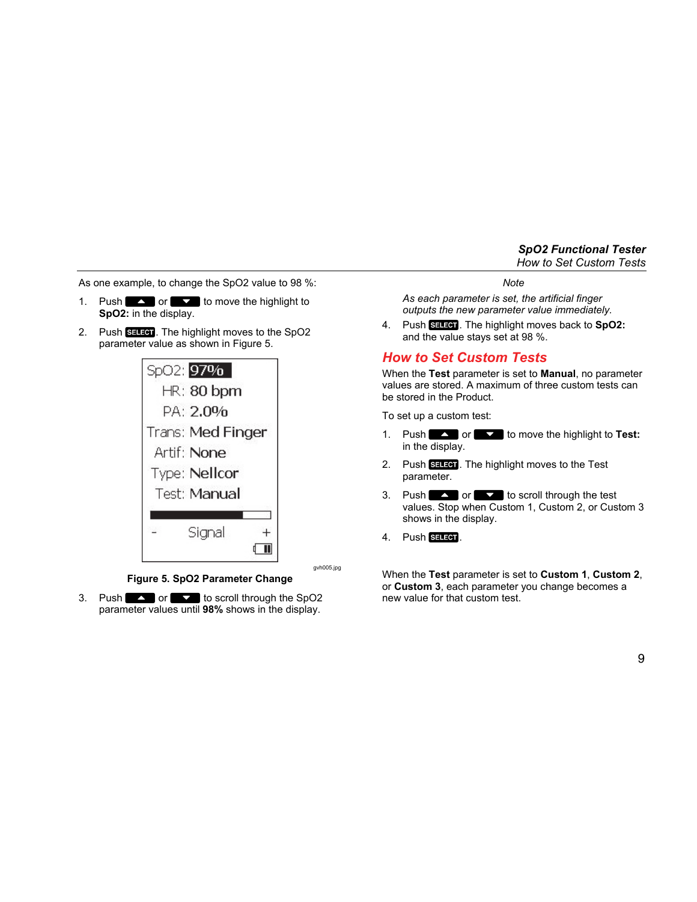As one example, to change the SpO2 value to 98 %:

- 1. Push  $\Box$  or  $\Box$  to move the highlight to **SpO2:** in the display.
- 2. Push SELEOT. The highlight moves to the SpO2 parameter value as shown in Figure 5.



gvh005.jpg

**Figure 5. SpO2 Parameter Change** 

3. Push  $\Box$  or  $\Box$  to scroll through the SpO2 parameter values until **98%** shows in the display.

*Note* 

*As each parameter is set, the artificial finger outputs the new parameter value immediately.* 

4. Push **SELEGT**. The highlight moves back to **SpO2:** and the value stays set at 98 %.

# *How to Set Custom Tests*

When the **Test** parameter is set to **Manual**, no parameter values are stored. A maximum of three custom tests can be stored in the Product.

To set up a custom test:

- 1. Push  $\sim$  or  $\sim$  to move the highlight to **Test:** in the display.
- 2. Push SELEGT. The highlight moves to the Test parameter.
- 3. Push  $\Box$  or  $\Box$  to scroll through the test values. Stop when Custom 1, Custom 2, or Custom 3 shows in the display.
- 4. Push SELECT.

When the **Test** parameter is set to **Custom 1**, **Custom 2**, or **Custom 3**, each parameter you change becomes a new value for that custom test.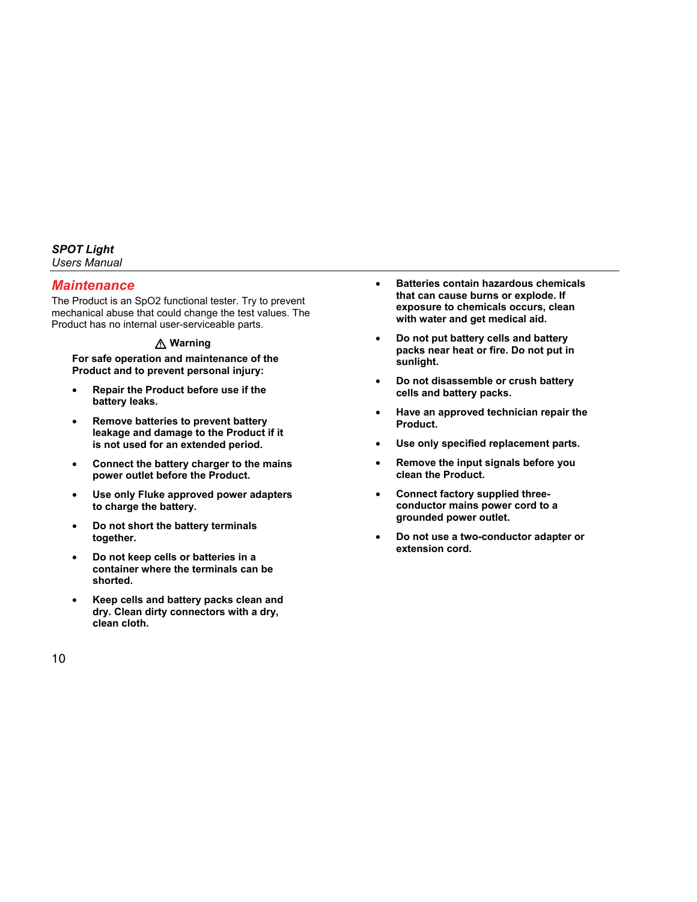# *Maintenance*

The Product is an SpO2 functional tester. Try to prevent mechanical abuse that could change the test values. The Product has no internal user-serviceable parts.

# W **Warning**

**For safe operation and maintenance of the Product and to prevent personal injury:** 

- **Repair the Product before use if the battery leaks.**
- **Remove batteries to prevent battery leakage and damage to the Product if it is not used for an extended period.**
- **Connect the battery charger to the mains power outlet before the Product.**
- **Use only Fluke approved power adapters to charge the battery.**
- **Do not short the battery terminals together.**
- **Do not keep cells or batteries in a container where the terminals can be shorted.**
- **Keep cells and battery packs clean and dry. Clean dirty connectors with a dry, clean cloth.**
- **Batteries contain hazardous chemicals that can cause burns or explode. If exposure to chemicals occurs, clean with water and get medical aid.**
- **Do not put battery cells and battery packs near heat or fire. Do not put in sunlight.**
- **Do not disassemble or crush battery cells and battery packs.**
- **Have an approved technician repair the Product.**
- **Use only specified replacement parts.**
- **Remove the input signals before you clean the Product.**
- **Connect factory supplied threeconductor mains power cord to a grounded power outlet.**
- **Do not use a two-conductor adapter or extension cord.**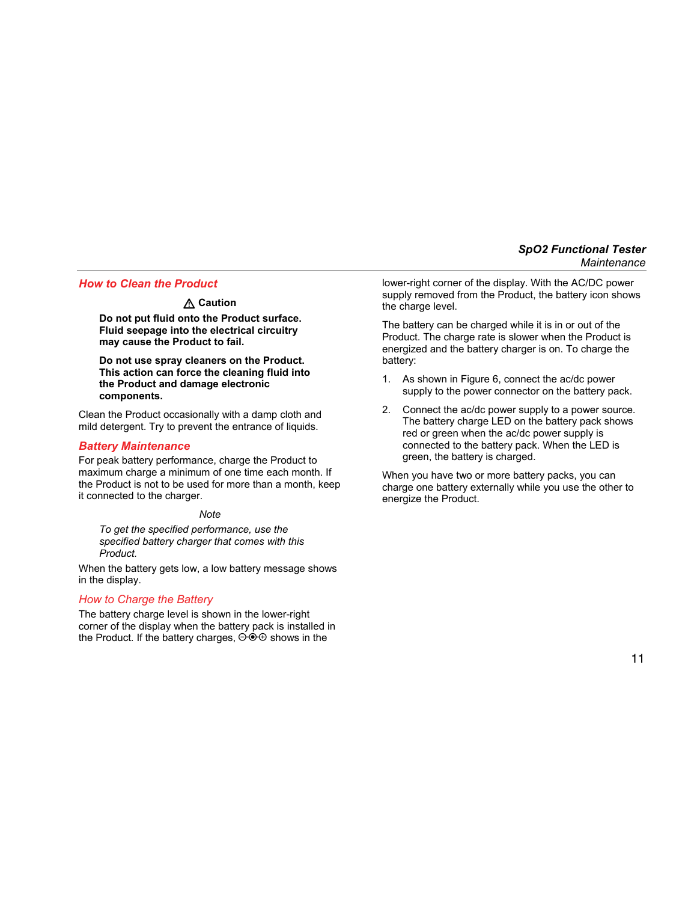## *How to Clean the Product*

## W **Caution**

**Do not put fluid onto the Product surface. Fluid seepage into the electrical circuitry may cause the Product to fail.** 

**Do not use spray cleaners on the Product. This action can force the cleaning fluid into the Product and damage electronic components.** 

Clean the Product occasionally with a damp cloth and mild detergent. Try to prevent the entrance of liquids.

#### *Battery Maintenance*

For peak battery performance, charge the Product to maximum charge a minimum of one time each month. If the Product is not to be used for more than a month, keep it connected to the charger.

#### *Note*

*To get the specified performance, use the specified battery charger that comes with this Product.* 

When the battery gets low, a low battery message shows in the display.

#### *How to Charge the Battery*

The battery charge level is shown in the lower-right corner of the display when the battery pack is installed in the Product. If the battery charges,  $\Theta \Theta \Theta$  shows in the

lower-right corner of the display. With the AC/DC power supply removed from the Product, the battery icon shows the charge level.

The battery can be charged while it is in or out of the Product. The charge rate is slower when the Product is energized and the battery charger is on. To charge the battery:

- 1. As shown in Figure 6, connect the ac/dc power supply to the power connector on the battery pack.
- 2. Connect the ac/dc power supply to a power source. The battery charge LED on the battery pack shows red or green when the ac/dc power supply is connected to the battery pack. When the LED is green, the battery is charged.

When you have two or more battery packs, you can charge one battery externally while you use the other to energize the Product.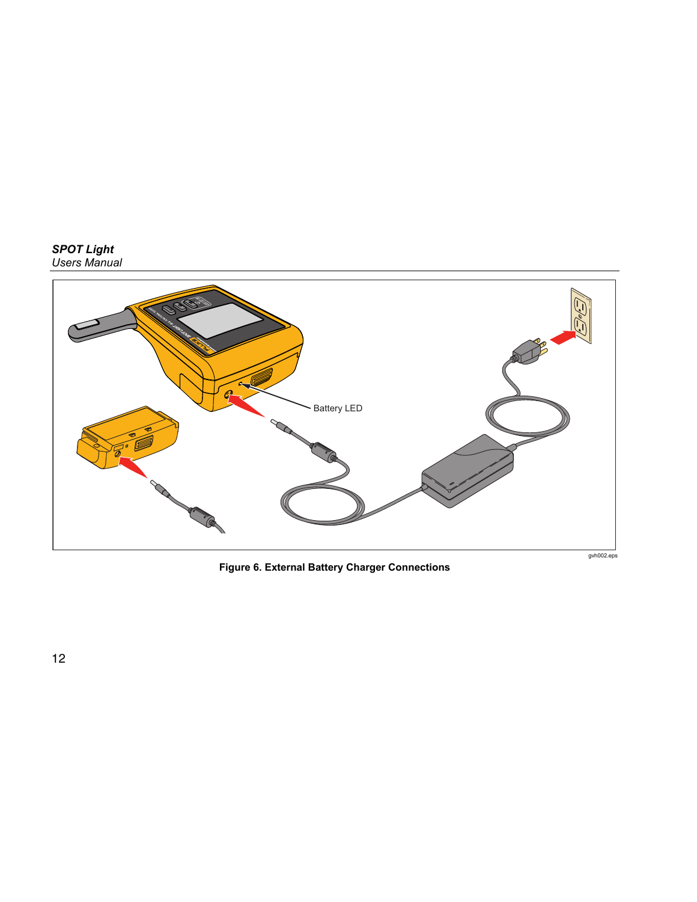

**Figure 6. External Battery Charger Connections**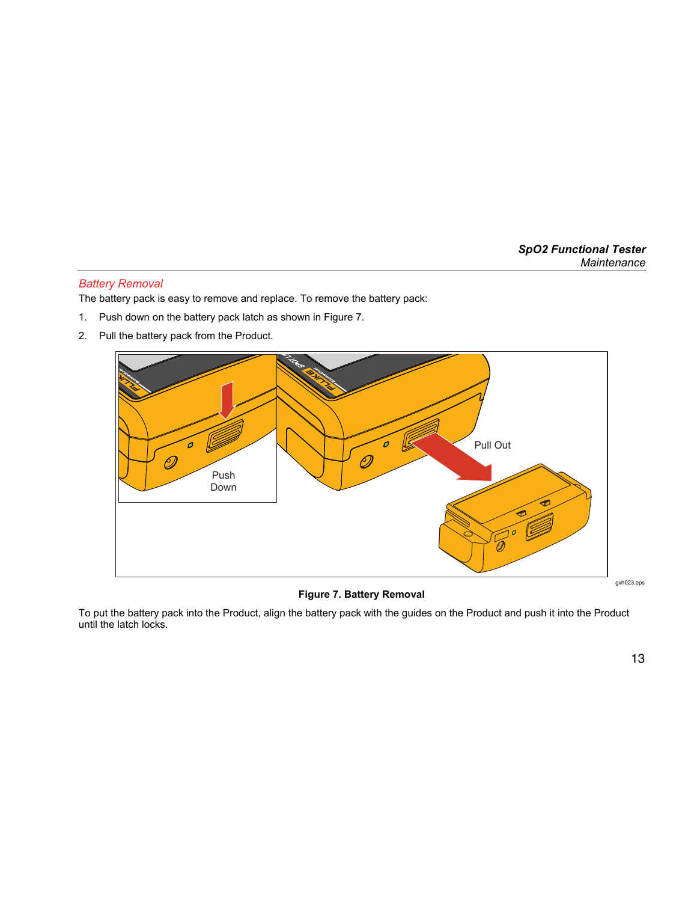#### *Battery Removal*

The battery pack is easy to remove and replace. To remove the battery pack:

- 1. Push down on the battery pack latch as shown in Figure 7.
- 2. Pull the battery pack from the Product.



### **Figure 7. Battery Removal**

To put the battery pack into the Product, align the battery pack with the guides on the Product and push it into the Product until the latch locks.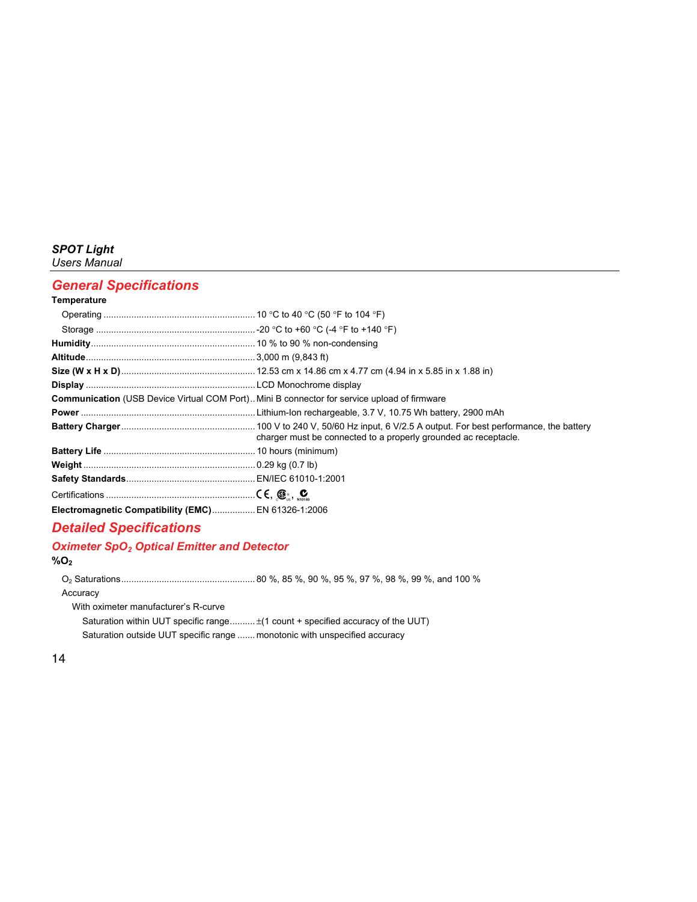# *General Specifications*

#### **Temperature**

|                                                     | <b>Communication</b> (USB Device Virtual COM Port). Mini B connector for service upload of firmware |
|-----------------------------------------------------|-----------------------------------------------------------------------------------------------------|
|                                                     |                                                                                                     |
|                                                     | charger must be connected to a properly grounded ac receptacle.                                     |
|                                                     |                                                                                                     |
|                                                     |                                                                                                     |
|                                                     |                                                                                                     |
|                                                     |                                                                                                     |
| Electromagnetic Compatibility (EMC) EN 61326-1:2006 |                                                                                                     |

# *Detailed Specifications*

# **Oximeter SpO<sub>2</sub> Optical Emitter and Detector**

**%O2**

O2 Saturations ..................................................... 80 %, 85 %, 90 %, 95 %, 97 %, 98 %, 99 %, and 100 %

Accuracy

With oximeter manufacturer's R-curve

Saturation within UUT specific range ..........  $\pm$  (1 count + specified accuracy of the UUT) Saturation outside UUT specific range ....... monotonic with unspecified accuracy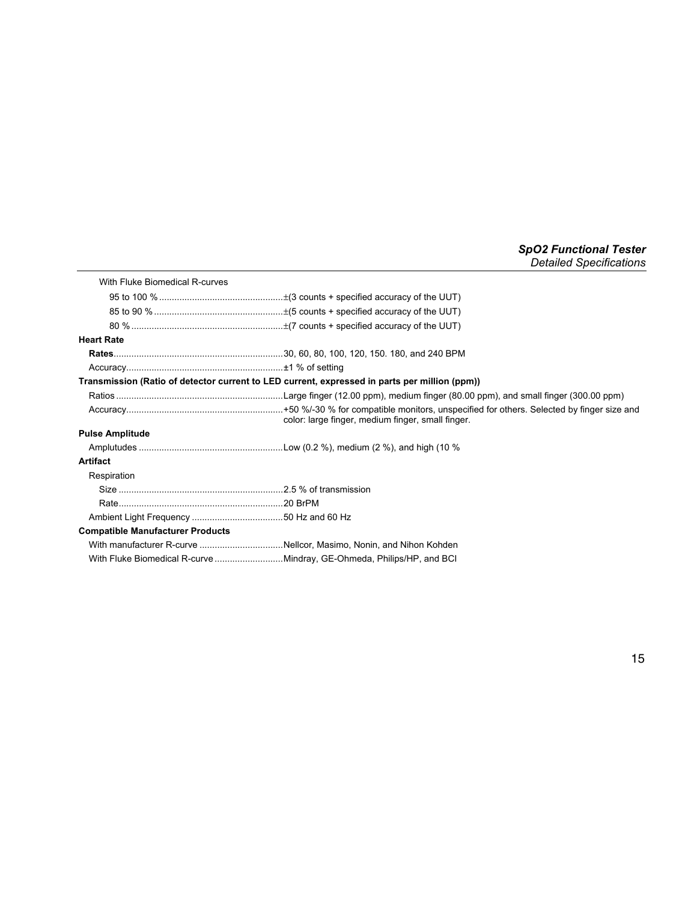| With Fluke Biomedical R-curves          |                                                                                               |
|-----------------------------------------|-----------------------------------------------------------------------------------------------|
|                                         |                                                                                               |
|                                         |                                                                                               |
|                                         |                                                                                               |
| <b>Heart Rate</b>                       |                                                                                               |
|                                         |                                                                                               |
|                                         |                                                                                               |
|                                         | Transmission (Ratio of detector current to LED current, expressed in parts per million (ppm)) |
|                                         |                                                                                               |
|                                         | color: large finger, medium finger, small finger.                                             |
| <b>Pulse Amplitude</b>                  |                                                                                               |
|                                         |                                                                                               |
| <b>Artifact</b>                         |                                                                                               |
| Respiration                             |                                                                                               |
|                                         |                                                                                               |
|                                         |                                                                                               |
|                                         |                                                                                               |
| <b>Compatible Manufacturer Products</b> |                                                                                               |
|                                         | With manufacturer R-curve Nellcor, Masimo, Nonin, and Nihon Kohden                            |
|                                         | With Fluke Biomedical R-curve Mindray, GE-Ohmeda, Philips/HP, and BCI                         |